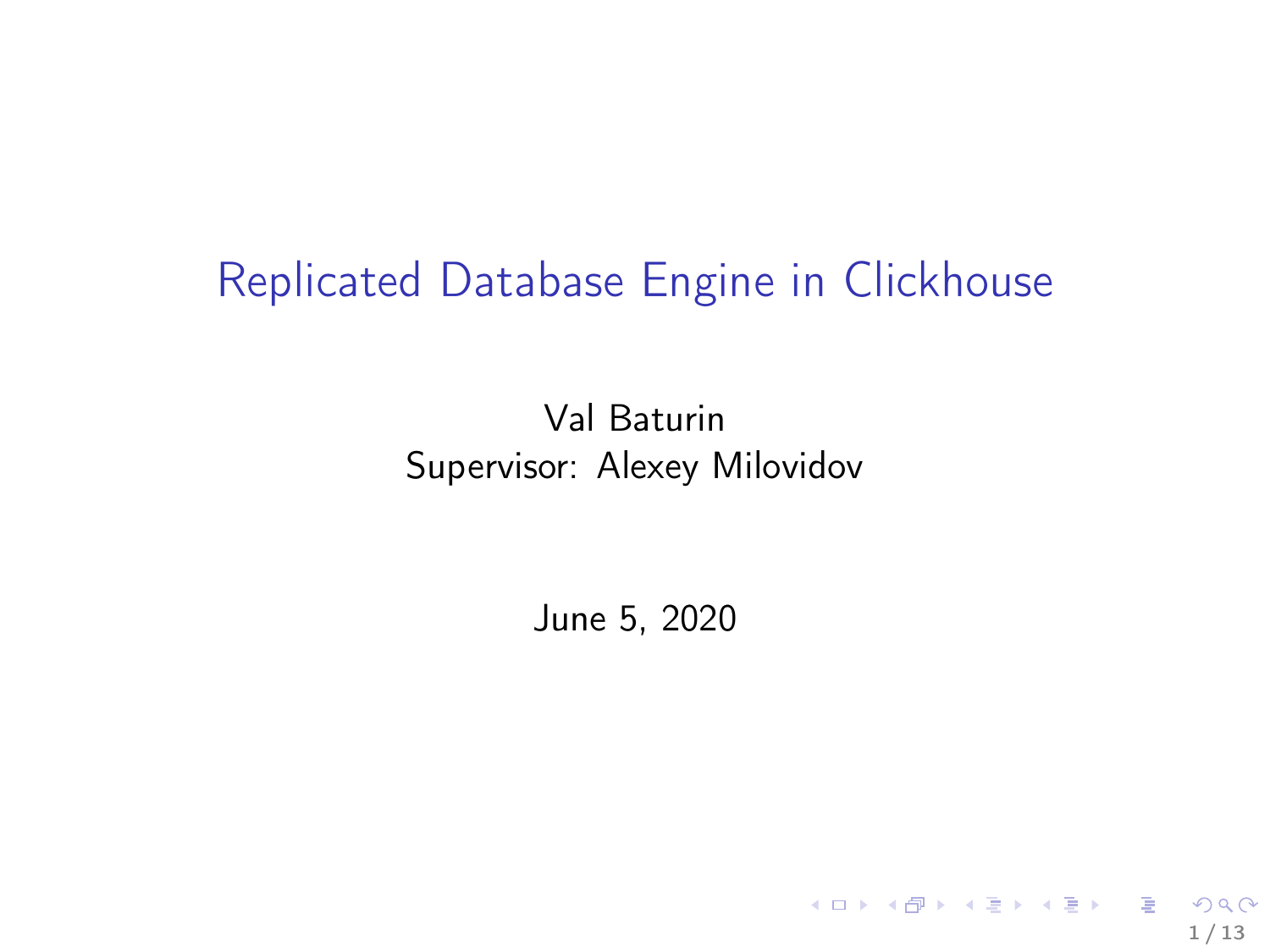## Replicated Database Engine in Clickhouse

Val Baturin Supervisor: Alexey Milovidov

June 5, 2020

K ロ ▶ K @ ▶ K 할 ▶ K 할 ▶ → 할 → 9 Q @ 1 / 13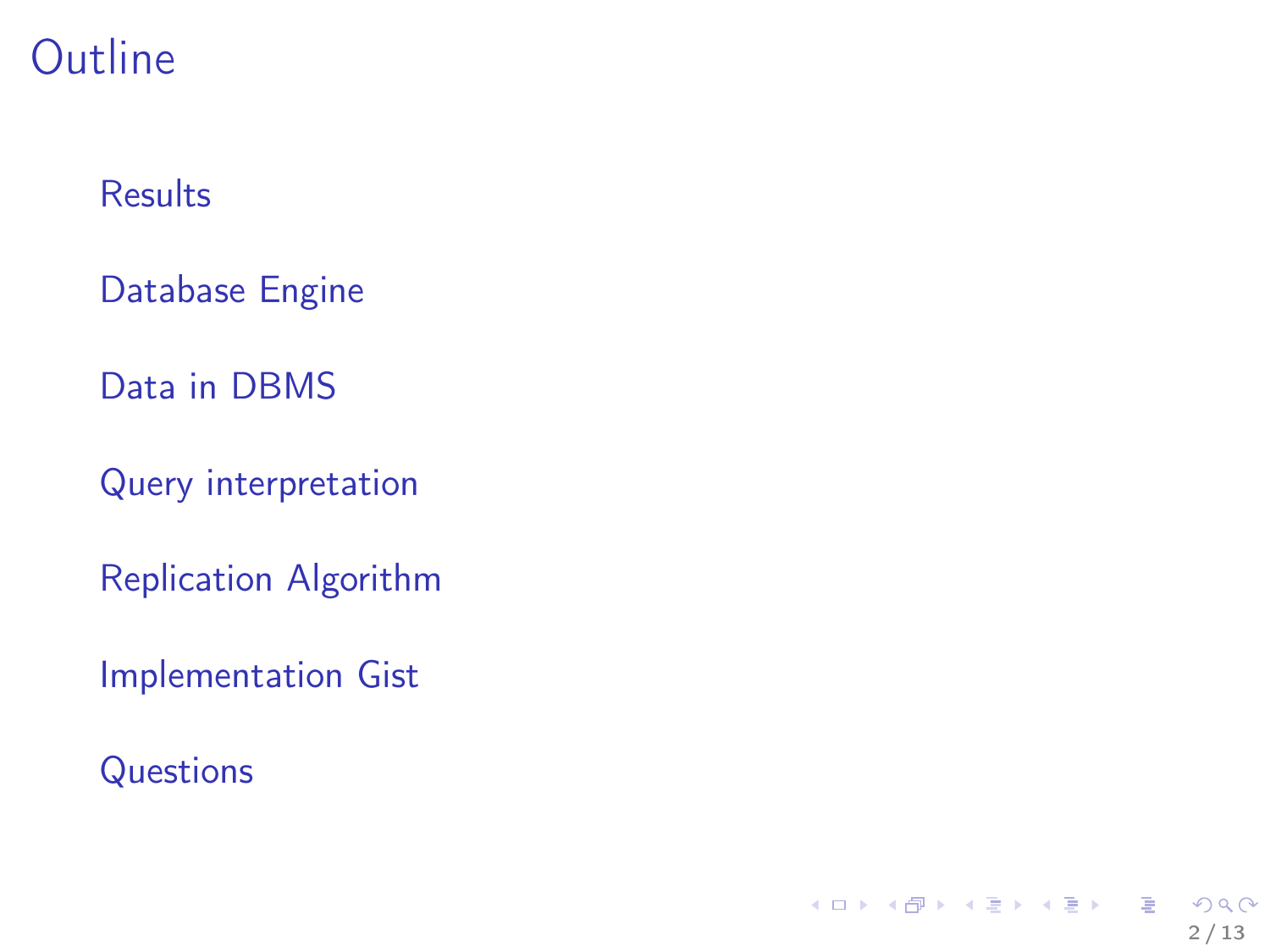# **Outline**

#### **[Results](#page-2-0)**

[Database Engine](#page-4-0)

[Data in DBMS](#page-6-0)

[Query interpretation](#page-7-0)

[Replication Algorithm](#page-10-0)

[Implementation Gist](#page-11-0)

**[Questions](#page-12-0)** 

K ロ K K @ K K 할 K K 할 K ( 할 K )  $2990$ 2 / 13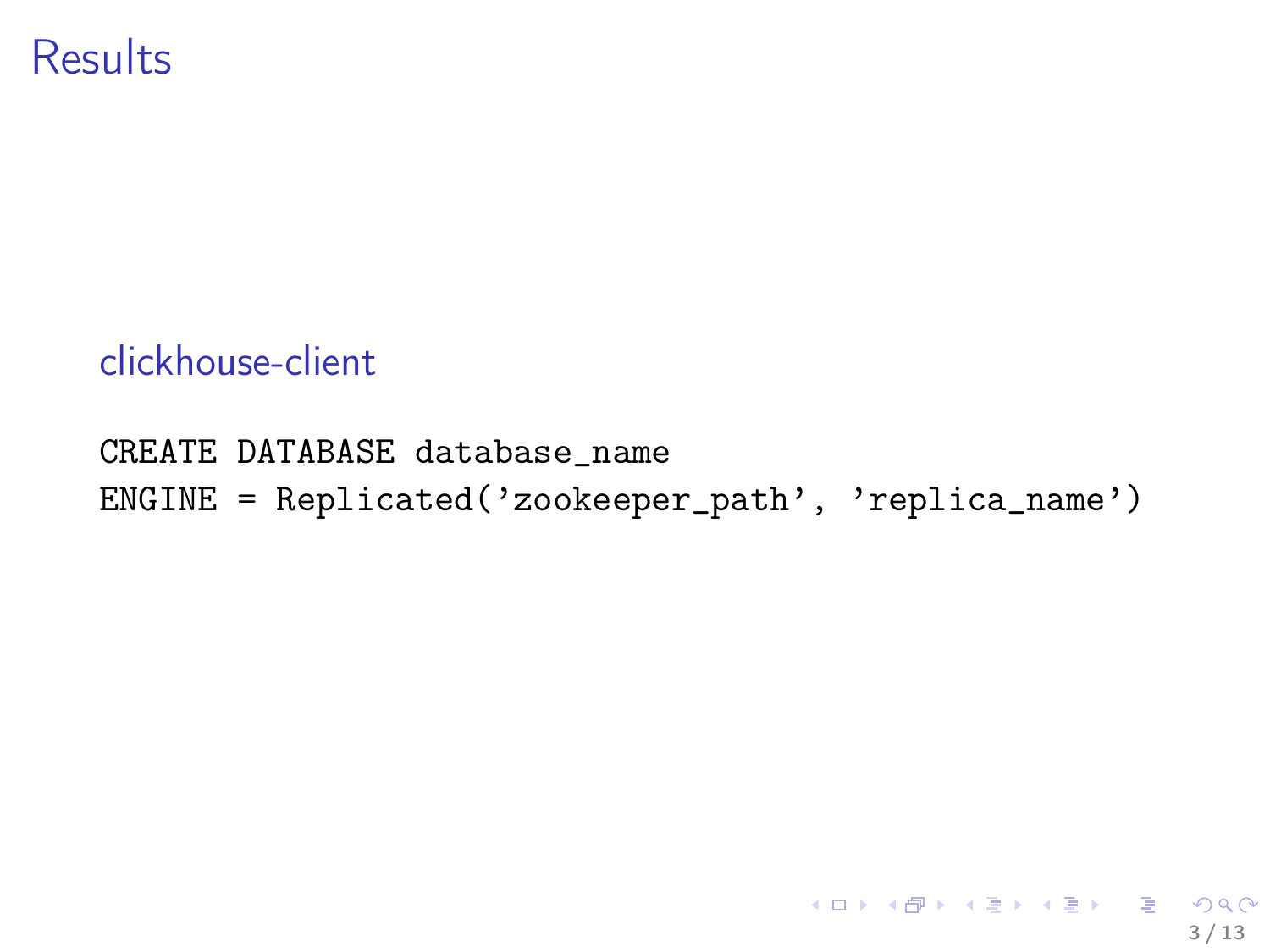#### <span id="page-2-0"></span>Results

#### clickhouse-client

#### CREATE DATABASE database\_name ENGINE = Replicated('zookeeper\_path', 'replica\_name')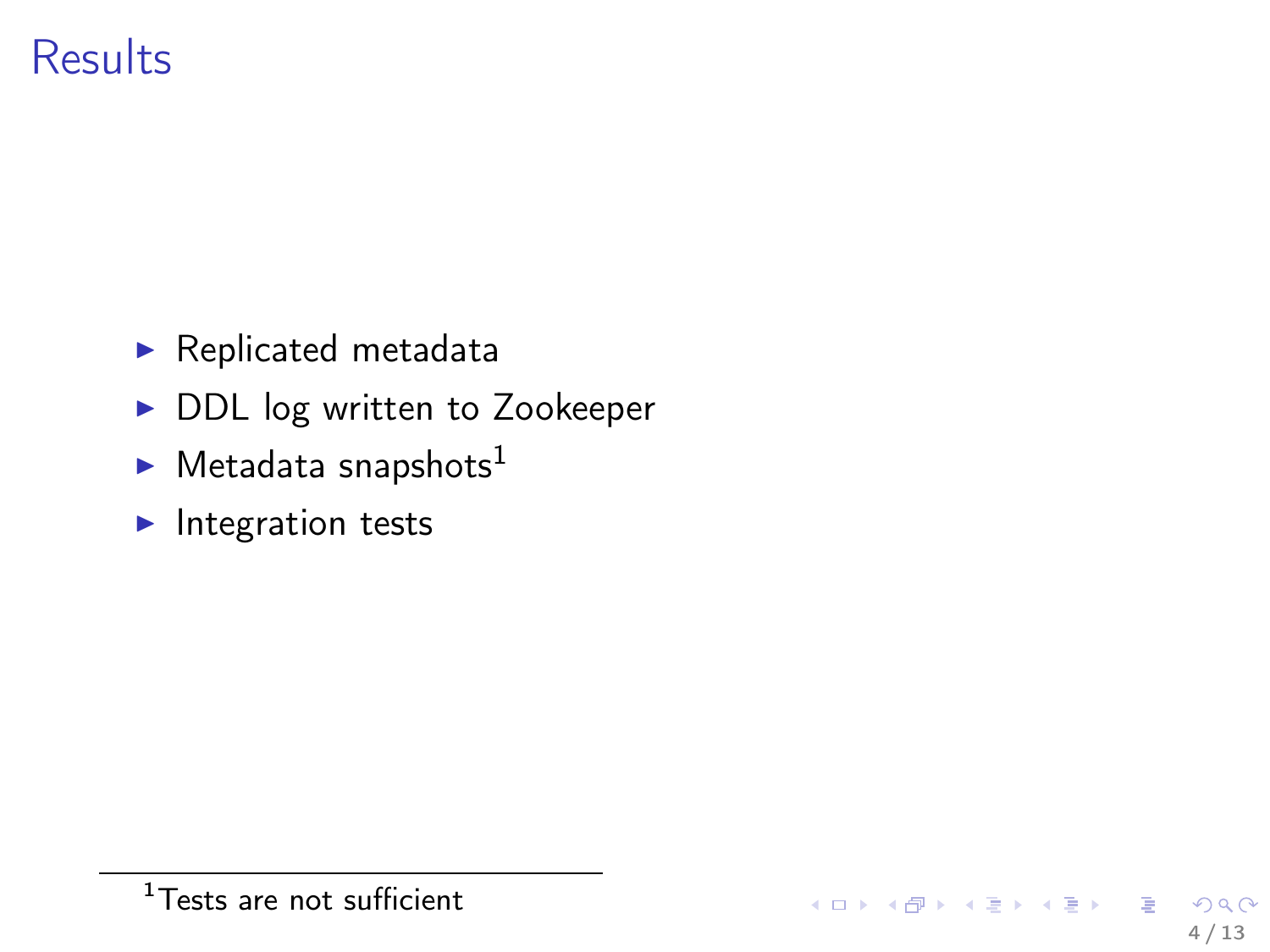# Results

- $\blacktriangleright$  Replicated metadata
- DDL log written to Zookeeper
- $\blacktriangleright$  Metadata snapshots<sup>1</sup>
- $\blacktriangleright$  Integration tests

<sup>1</sup>Tests are not sufficient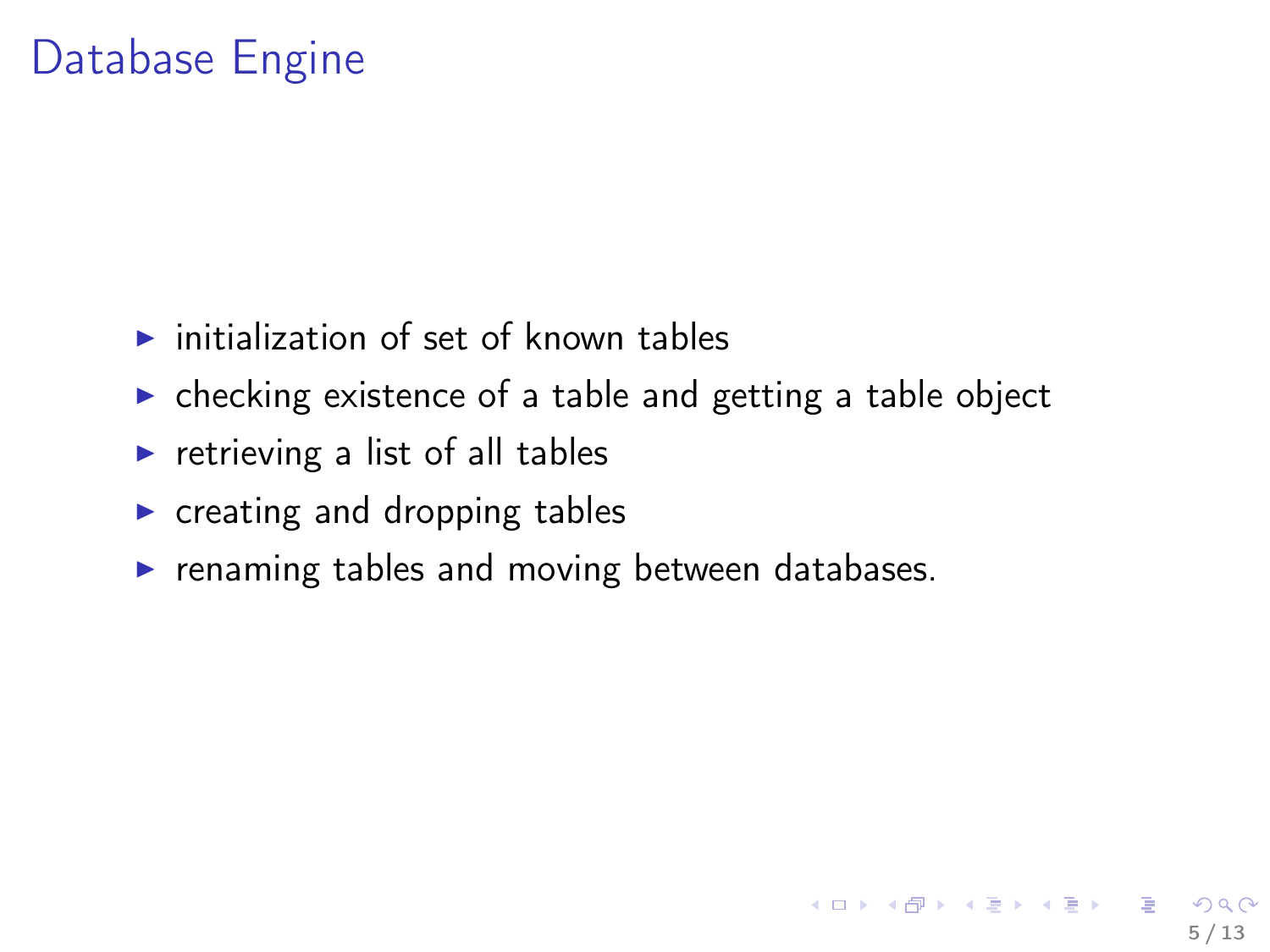# <span id="page-4-0"></span>Database Engine

- $\triangleright$  initialization of set of known tables
- $\triangleright$  checking existence of a table and getting a table object
- $\triangleright$  retrieving a list of all tables
- $\triangleright$  creating and dropping tables
- $\triangleright$  renaming tables and moving between databases.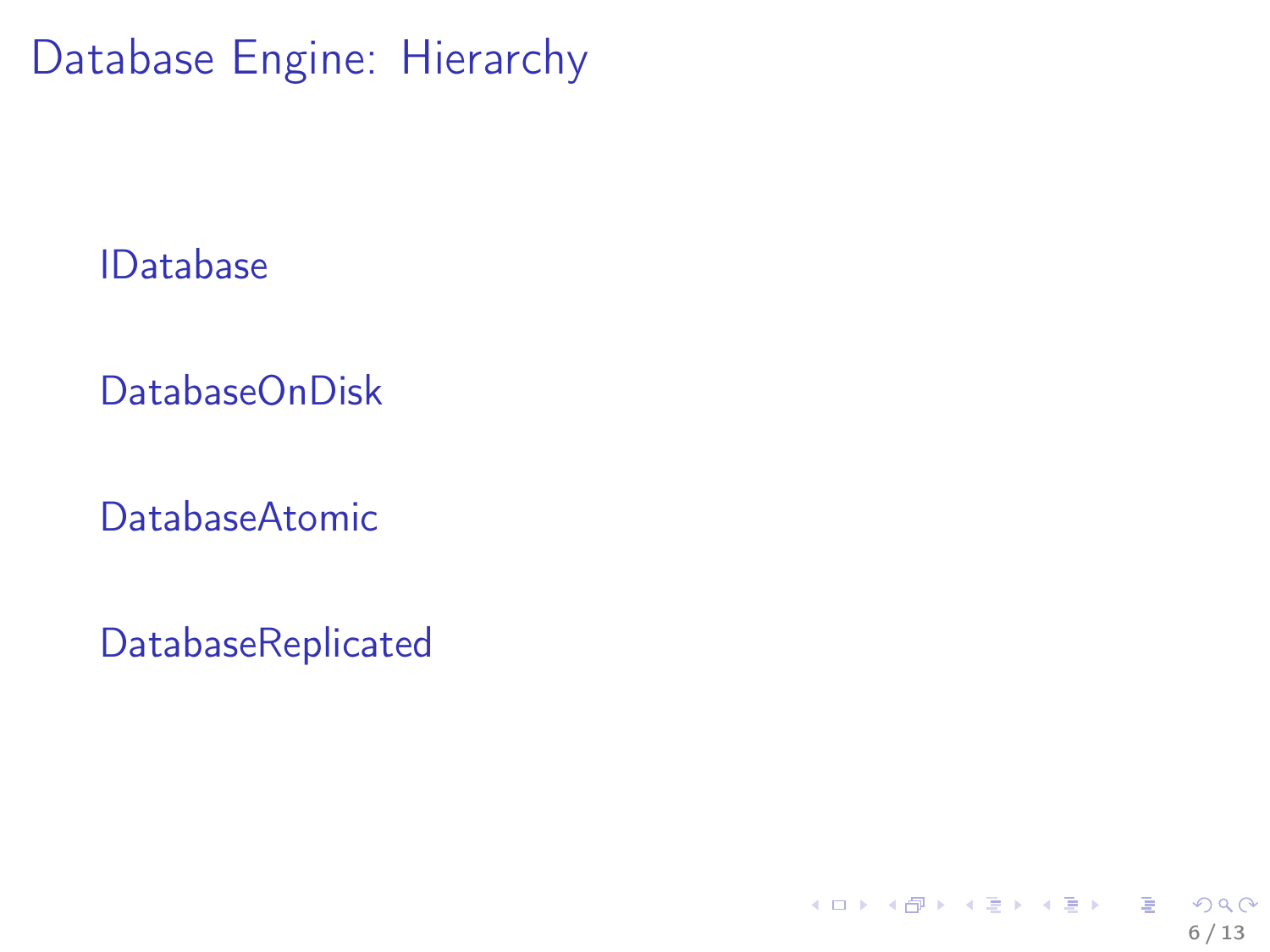Database Engine: Hierarchy

IDatabase

DatabaseOnDisk

DatabaseAtomic

**DatabaseReplicated** 

K ロ X K @ X K 할 X K 할 X ( 할  $\Omega$ 6 / 13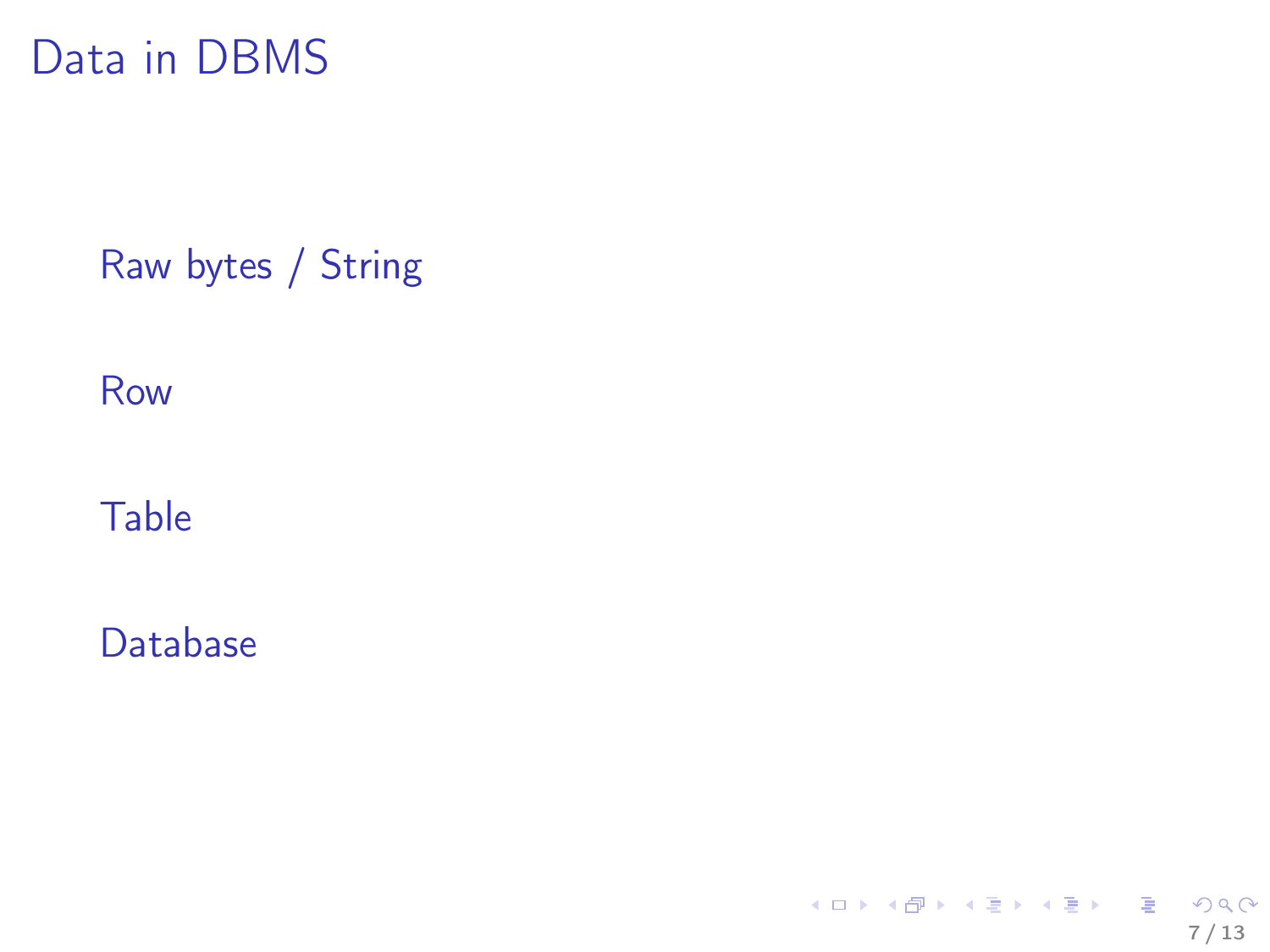## <span id="page-6-0"></span>Data in DBMS

Raw bytes / String

Row

#### Table

Database

イロト 不優 ト 不差 ト 不差 トー 差し  $QQ$ 7 / 13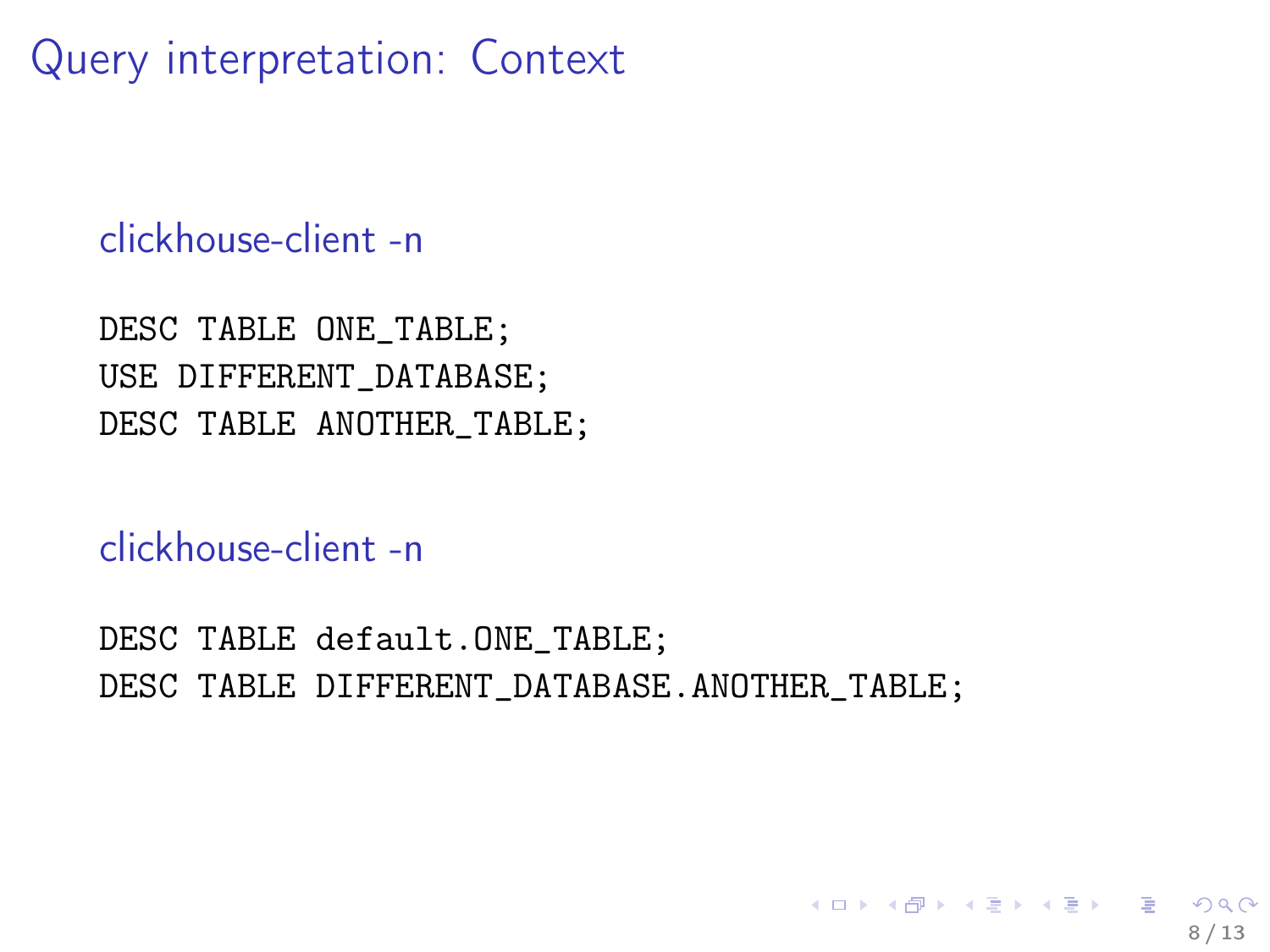<span id="page-7-0"></span>Query interpretation: Context

clickhouse-client -n

DESC TABLE ONE\_TABLE; USE DIFFERENT\_DATABASE; DESC TABLE ANOTHER\_TABLE;

clickhouse-client -n

DESC TABLE default.ONE\_TABLE; DESC TABLE DIFFERENT\_DATABASE.ANOTHER\_TABLE;

8 / 13

**K ロ ト K 何 ト K ヨ ト K ヨ ト ニヨ**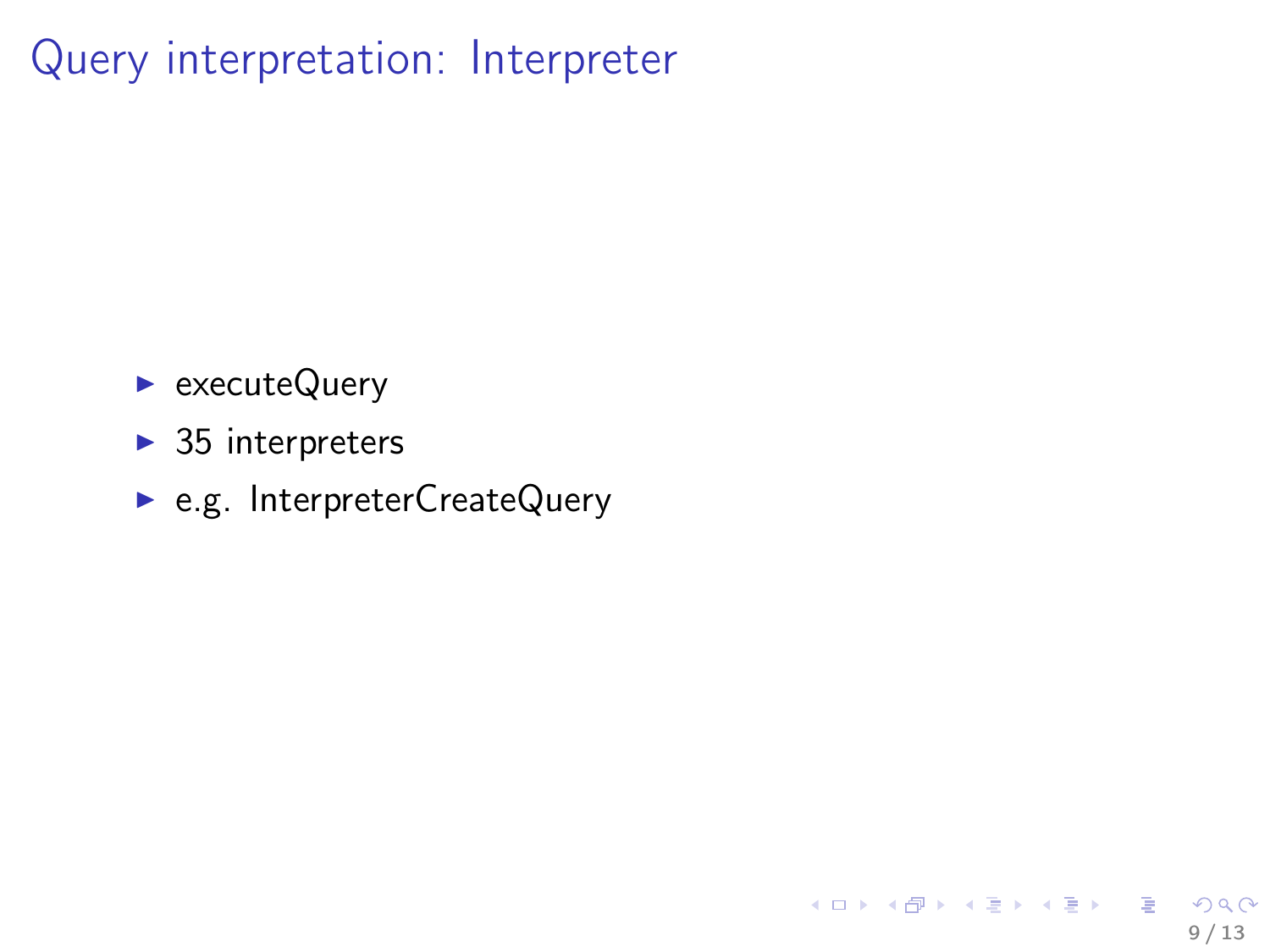# Query interpretation: Interpreter

- $\blacktriangleright$  executeQuery
- $\blacktriangleright$  35 interpreters
- $\blacktriangleright$  e.g. InterpreterCreateQuery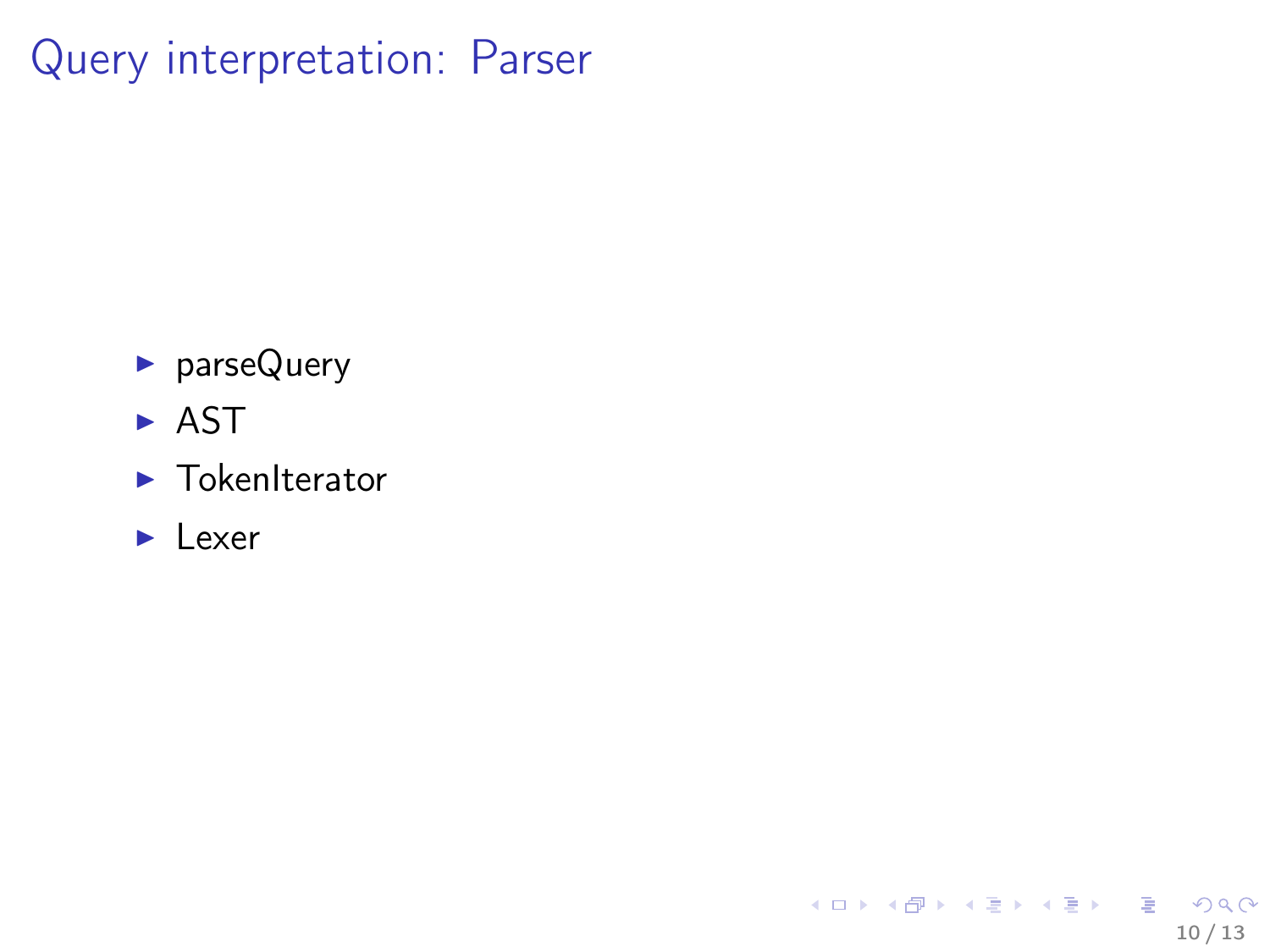## Query interpretation: Parser

- $\rightharpoonup$  parseQuery
- $\triangleright$  AST
- $\blacktriangleright$  TokenIterator
- $\blacktriangleright$  Lexer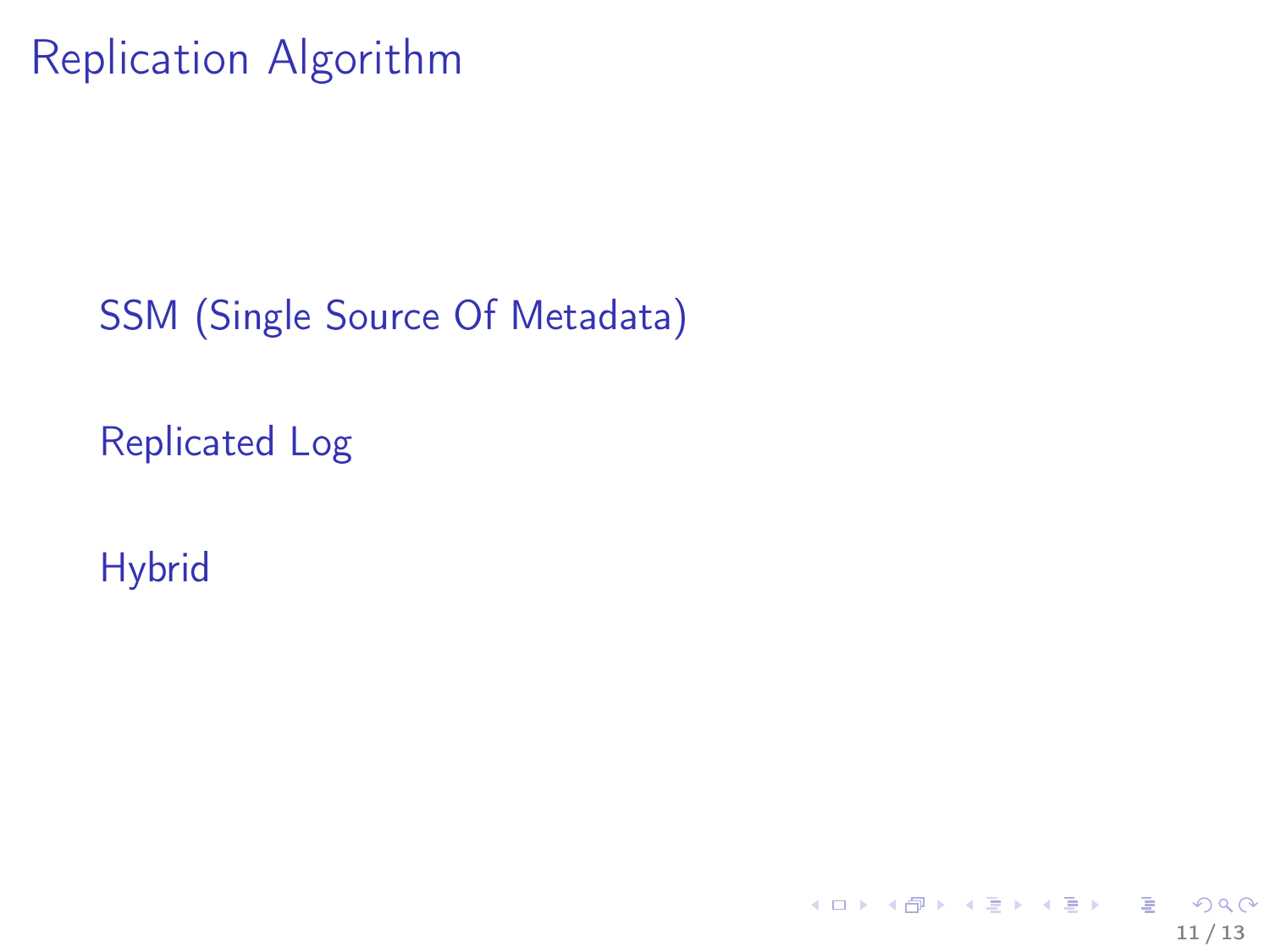<span id="page-10-0"></span>Replication Algorithm

### SSM (Single Source Of Metadata)

Replicated Log

**Hybrid**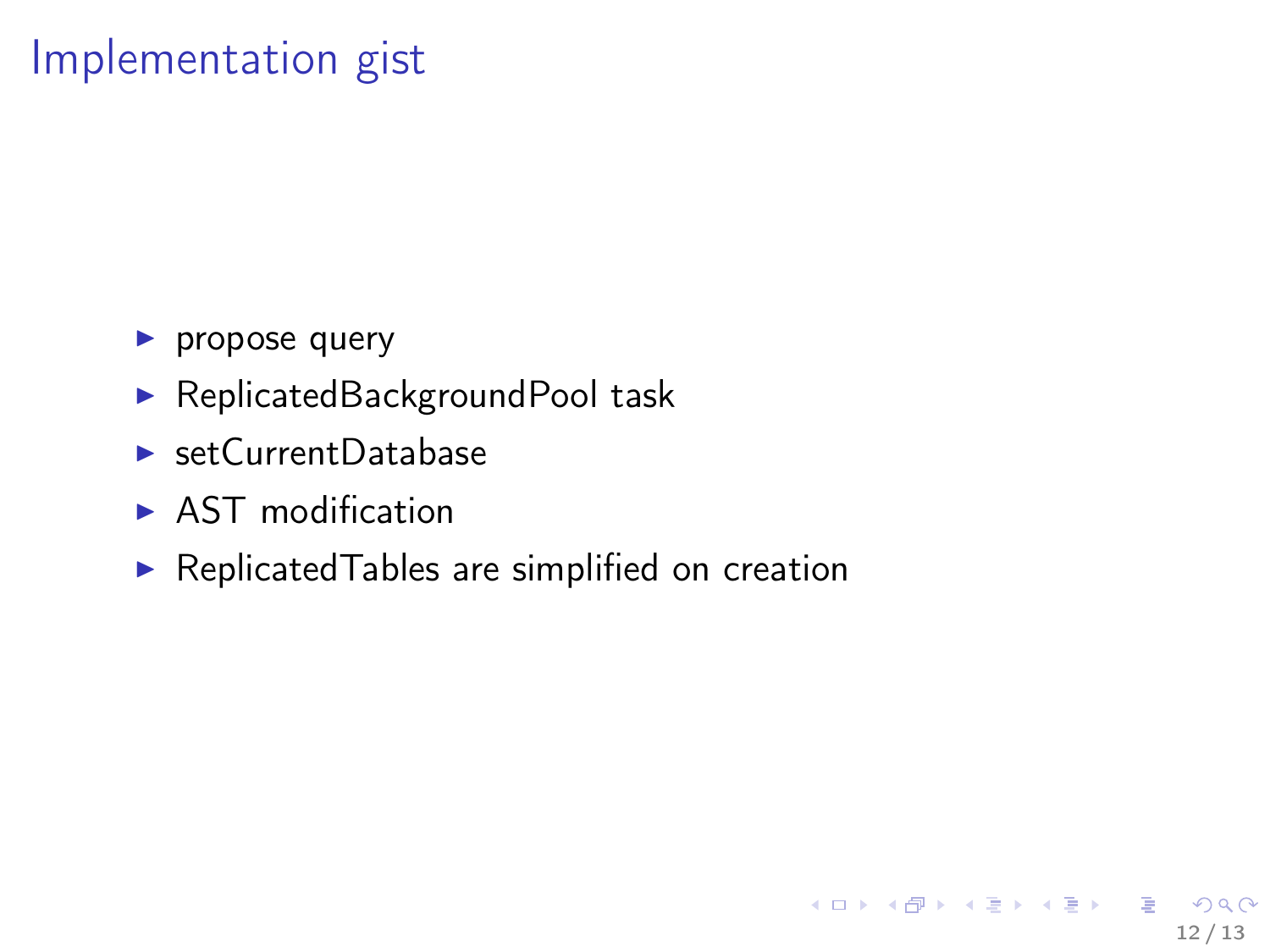# <span id="page-11-0"></span>Implementation gist

- $\blacktriangleright$  propose query
- ▶ ReplicatedBackgroundPool task
- $\blacktriangleright$  setCurrentDatabase
- $\triangleright$  AST modification
- $\blacktriangleright$  Replicated Tables are simplified on creation

12 / 13

 $QQ$ 

K ロ ▶ K @ ▶ K 경 ▶ K 경 ▶ 《 경 〉